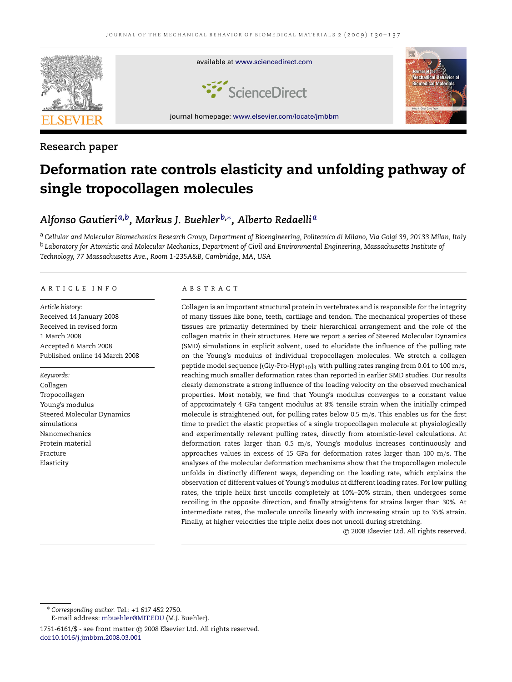

### **Research paper**

# Deformation rate controls elasticity and unfolding pathway of single tropocollagen molecules

## *Alfonso Gautieria,b , Markus J. Buehlerb,*∗ *, Alberto Redaellia*

<sup>a</sup> *Cellular and Molecular Biomechanics Research Group, Department of Bioengineering, Politecnico di Milano, Via Golgi 39, 20133 Milan, Italy* <sup>b</sup> *Laboratory for Atomistic and Molecular Mechanics, Department of Civil and Environmental Engineering, Massachusetts Institute of Technology, 77 Massachusetts Ave., Room 1-235A&B, Cambridge, MA, USA*

#### A R T I C L E I N F O

*Article history:* Received 14 January 2008 Received in revised form 1 March 2008 Accepted 6 March 2008 Published online 14 March 2008

*Keywords:* Collagen Tropocollagen Young's modulus Steered Molecular Dynamics simulations Nanomechanics Protein material Fracture Elasticity

#### A B S T R A C T

Collagen is an important structural protein in vertebrates and is responsible for the integrity of many tissues like bone, teeth, cartilage and tendon. The mechanical properties of these tissues are primarily determined by their hierarchical arrangement and the role of the collagen matrix in their structures. Here we report a series of Steered Molecular Dynamics (SMD) simulations in explicit solvent, used to elucidate the influence of the pulling rate on the Young's modulus of individual tropocollagen molecules. We stretch a collagen peptide model sequence  $[(Gly-Pro-Hyp)<sub>10</sub>]$ <sub>3</sub> with pulling rates ranging from 0.01 to 100 m/s, reaching much smaller deformation rates than reported in earlier SMD studies. Our results clearly demonstrate a strong influence of the loading velocity on the observed mechanical properties. Most notably, we find that Young's modulus converges to a constant value of approximately 4 GPa tangent modulus at 8% tensile strain when the initially crimped molecule is straightened out, for pulling rates below 0.5 m/s. This enables us for the first time to predict the elastic properties of a single tropocollagen molecule at physiologically and experimentally relevant pulling rates, directly from atomistic-level calculations. At deformation rates larger than 0.5 m/s, Young's modulus increases continuously and approaches values in excess of 15 GPa for deformation rates larger than 100 m/s. The analyses of the molecular deformation mechanisms show that the tropocollagen molecule unfolds in distinctly different ways, depending on the loading rate, which explains the observation of different values of Young's modulus at different loading rates. For low pulling rates, the triple helix first uncoils completely at 10%–20% strain, then undergoes some recoiling in the opposite direction, and finally straightens for strains larger than 30%. At intermediate rates, the molecule uncoils linearly with increasing strain up to 35% strain. Finally, at higher velocities the triple helix does not uncoil during stretching.

c 2008 Elsevier Ltd. All rights reserved.

<sup>∗</sup> *Corresponding author.* Tel.: +1 617 452 2750. E-mail address: [mbuehler@MIT.EDU](mailto:mbuehler@MIT.EDU) (M.J. Buehler).

<sup>1751-6161/\$ -</sup> see front matter © 2008 Elsevier Ltd. All rights reserved. [doi:10.1016/j.jmbbm.2008.03.001](http://dx.doi.org/10.1016/j.jmbbm.2008.03.001)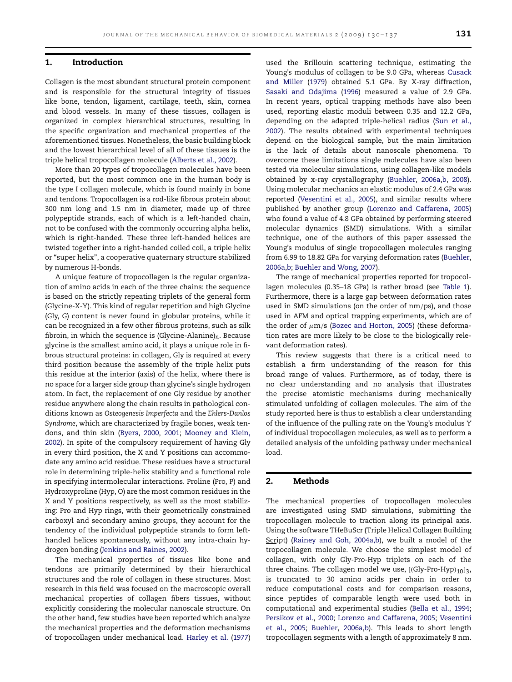#### 1. Introduction

Collagen is the most abundant structural protein component and is responsible for the structural integrity of tissues like bone, tendon, ligament, cartilage, teeth, skin, cornea and blood vessels. In many of these tissues, collagen is organized in complex hierarchical structures, resulting in the specific organization and mechanical properties of the aforementioned tissues. Nonetheless, the basic building block and the lowest hierarchical level of all of these tissues is the triple helical tropocollagen molecule (Alberts et al., 2002).

More than 20 types of tropocollagen molecules have been reported, but the most common one in the human body is the type I collagen molecule, which is found mainly in bone and tendons. Tropocollagen is a rod-like fibrous protein about 300 nm long and 1.5 nm in diameter, made up of three polypeptide strands, each of which is a left-handed chain, not to be confused with the commonly occurring alpha helix, which is right-handed. These three left-handed helices are twisted together into a right-handed coiled coil, a triple helix or "super helix", a cooperative quaternary structure stabilized by numerous H-bonds.

A unique feature of tropocollagen is the regular organization of amino acids in each of the three chains: the sequence is based on the strictly repeating triplets of the general form (Glycine-X-Y). This kind of regular repetition and high Glycine (Gly, G) content is never found in globular proteins, while it can be recognized in a few other fibrous proteins, such as silk fibroin, in which the sequence is (Glycine-Alanine)*n*. Because glycine is the smallest amino acid, it plays a unique role in fibrous structural proteins: in collagen, Gly is required at every third position because the assembly of the triple helix puts this residue at the interior (axis) of the helix, where there is no space for a larger side group than glycine's single hydrogen atom. In fact, the replacement of one Gly residue by another residue anywhere along the chain results in pathological conditions known as *Osteogenesis Imperfecta* and the *Ehlers-Danlos Syndrome*, which are characterized by fragile bones, weak tendons, and thin skin (Byers, 2000, 2001; Mooney and Klein, 2002). In spite of the compulsory requirement of having Gly in every third position, the X and Y positions can accommodate any amino acid residue. These residues have a structural role in determining triple-helix stability and a functional role in specifying intermolecular interactions. Proline (Pro, P) and Hydroxyproline (Hyp, O) are the most common residues in the X and Y positions respectively, as well as the most stabilizing: Pro and Hyp rings, with their geometrically constrained carboxyl and secondary amino groups, they account for the tendency of the individual polypeptide strands to form lefthanded helices spontaneously, without any intra-chain hydrogen bonding (Jenkins and Raines, 2002).

The mechanical properties of tissues like bone and tendons are primarily determined by their hierarchical structures and the role of collagen in these structures. Most research in this field was focused on the macroscopic overall mechanical properties of collagen fibers tissues, without explicitly considering the molecular nanoscale structure. On the other hand, few studies have been reported which analyze the mechanical properties and the deformation mechanisms of tropocollagen under mechanical load. Harley et al. (1977)

used the Brillouin scattering technique, estimating the Young's modulus of collagen to be 9.0 GPa, whereas Cusack and Miller (1979) obtained 5.1 GPa. By X-ray diffraction, Sasaki and Odajima (1996) measured a value of 2.9 GPa. In recent years, optical trapping methods have also been used, reporting elastic moduli between 0.35 and 12.2 GPa, depending on the adapted triple-helical radius (Sun et al., 2002). The results obtained with experimental techniques depend on the biological sample, but the main limitation is the lack of details about nanoscale phenomena. To overcome these limitations single molecules have also been tested via molecular simulations, using collagen-like models obtained by x-ray crystallography (Buehler, 2006a,b, 2008). Using molecular mechanics an elastic modulus of 2.4 GPa was reported (Vesentini et al., 2005), and similar results where published by another group (Lorenzo and Caffarena, 2005) who found a value of 4.8 GPa obtained by performing steered molecular dynamics (SMD) simulations. With a similar technique, one of the authors of this paper assessed the Young's modulus of single tropocollagen molecules ranging from 6.99 to 18.82 GPa for varying deformation rates (Buehler, 2006a,b; Buehler and Wong, 2007).

The range of mechanical properties reported for tropocollagen molecules (0.35–18 GPa) is rather broad (see Table 1). Furthermore, there is a large gap between deformation rates used in SMD simulations (on the order of nm/ps), and those used in AFM and optical trapping experiments, which are of the order of  $\mu$ m/s (Bozec and Horton, 2005) (these deformation rates are more likely to be close to the biologically relevant deformation rates).

This review suggests that there is a critical need to establish a firm understanding of the reason for this broad range of values. Furthermore, as of today, there is no clear understanding and no analysis that illustrates the precise atomistic mechanisms during mechanically stimulated unfolding of collagen molecules. The aim of the study reported here is thus to establish a clear understanding of the influence of the pulling rate on the Young's modulus *Y* of individual tropocollagen molecules, as well as to perform a detailed analysis of the unfolding pathway under mechanical load.

#### 2. Methods

The mechanical properties of tropocollagen molecules are investigated using SMD simulations, submitting the tropocollagen molecule to traction along its principal axis. Using the software THeBuScr (Triple Helical Collagen Building Script) (Rainey and Goh, 2004a,b), we built a model of the tropocollagen molecule. We choose the simplest model of collagen, with only Gly-Pro-Hyp triplets on each of the three chains. The collagen model we use,  $[(\mathrm{Gly\text{-}Pro\text{-}Hyp})_{10}]_3,$ is truncated to 30 amino acids per chain in order to reduce computational costs and for comparison reasons, since peptides of comparable length were used both in computational and experimental studies (Bella et al., 1994; Persikov et al., 2000; Lorenzo and Caffarena, 2005; Vesentini et al., 2005; Buehler, 2006a,b). This leads to short length tropocollagen segments with a length of approximately 8 nm.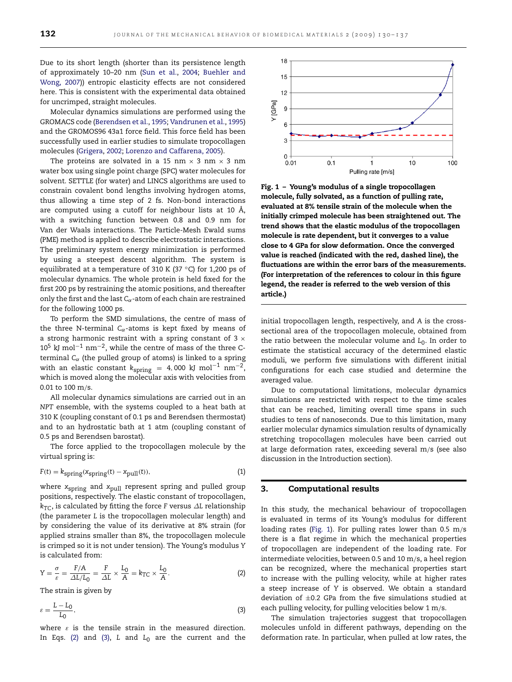Due to its short length (shorter than its persistence length of approximately 10–20 nm (Sun et al., 2004; Buehler and Wong, 2007)) entropic elasticity effects are not considered here. This is consistent with the experimental data obtained for uncrimped, straight molecules.

Molecular dynamics simulations are performed using the GROMACS code (Berendsen et al., 1995; Vandrunen et al., 1995) and the GROMOS96 43a1 force field. This force field has been successfully used in earlier studies to simulate tropocollagen molecules (Grigera, 2002; Lorenzo and Caffarena, 2005).

The proteins are solvated in a 15 nm  $\times$  3 nm  $\times$  3 nm water box using single point charge (SPC) water molecules for solvent. SETTLE (for water) and LINCS algorithms are used to constrain covalent bond lengths involving hydrogen atoms, thus allowing a time step of 2 fs. Non-bond interactions are computed using a cutoff for neighbour lists at 10 Å, with a switching function between 0.8 and 0.9 nm for Van der Waals interactions. The Particle-Mesh Ewald sums (PME) method is applied to describe electrostatic interactions. The preliminary system energy minimization is performed by using a steepest descent algorithm. The system is equilibrated at a temperature of 310 K (37 ◦C) for 1,200 ps of molecular dynamics. The whole protein is held fixed for the first 200 ps by restraining the atomic positions, and thereafter only the first and the last *C*α-atom of each chain are restrained for the following 1000 ps.

To perform the SMD simulations, the centre of mass of the three N-terminal  $C_{\alpha}$ -atoms is kept fixed by means of a strong harmonic restraint with a spring constant of  $3 \times$  $10^5$  kJ mol<sup>-1</sup> nm<sup>-2</sup>, while the centre of mass of the three Cterminal *C*α (the pulled group of atoms) is linked to a spring with an elastic constant  $k_{\rm spring}$  = 4,000 kJ mol<sup>−1</sup> nm<sup>−2</sup>, which is moved along the molecular axis with velocities from 0.01 to 100 m/s.

All molecular dynamics simulations are carried out in an *NPT* ensemble, with the systems coupled to a heat bath at 310 K (coupling constant of 0.1 ps and Berendsen thermostat) and to an hydrostatic bath at 1 atm (coupling constant of 0.5 ps and Berendsen barostat).

The force applied to the tropocollagen molecule by the virtual spring is:

$$
F(t) = k_{spring}(x_{spring}(t) - x_{pull}(t)),
$$
\n(1)

where *x*<sub>spring</sub> and *x*<sub>pull</sub> represent spring and pulled group positions, respectively. The elastic constant of tropocollagen, *kTC*, is calculated by fitting the force *F* versus ∆*L* relationship (the parameter *L* is the tropocollagen molecular length) and by considering the value of its derivative at 8% strain (for applied strains smaller than 8%, the tropocollagen molecule is crimped so it is not under tension). The Young's modulus *Y* is calculated from:

$$
Y = \frac{\sigma}{\varepsilon} = \frac{F/A}{\Delta L/L_0} = \frac{F}{\Delta L} \times \frac{L_0}{A} = k_{TC} \times \frac{L_0}{A}.
$$
 (2)

The strain is given by

$$
\varepsilon = \frac{L - L_0}{L_0},\tag{3}
$$

where  $\varepsilon$  is the tensile strain in the measured direction. In Eqs. (2) and (3), *L* and *L*0 are the current and the



Fig. 1 – Young's modulus of a single tropocollagen molecule, fully solvated, as a function of pulling rate, evaluated at 8% tensile strain of the molecule when the initially crimped molecule has been straightened out. The trend shows that the elastic modulus of the tropocollagen molecule is rate dependent, but it converges to a value close to 4 GPa for slow deformation. Once the converged value is reached (indicated with the red, dashed line), the fluctuations are within the error bars of the measurements. (For interpretation of the references to colour in this figure legend, the reader is referred to the web version of this article.)

initial tropocollagen length, respectively, and *A* is the crosssectional area of the tropocollagen molecule, obtained from the ratio between the molecular volume and *L*0 . In order to estimate the statistical accuracy of the determined elastic moduli, we perform five simulations with different initial configurations for each case studied and determine the averaged value.

Due to computational limitations, molecular dynamics simulations are restricted with respect to the time scales that can be reached, limiting overall time spans in such studies to tens of nanoseconds. Due to this limitation, many earlier molecular dynamics simulation results of dynamically stretching tropocollagen molecules have been carried out at large deformation rates, exceeding several m/s (see also discussion in the Introduction section).

#### 3. Computational results

In this study, the mechanical behaviour of tropocollagen is evaluated in terms of its Young's modulus for different loading rates (Fig. 1). For pulling rates lower than 0.5 m/s there is a flat regime in which the mechanical properties of tropocollagen are independent of the loading rate. For intermediate velocities, between 0.5 and 10 m/s, a heel region can be recognized, where the mechanical properties start to increase with the pulling velocity, while at higher rates a steep increase of *Y* is observed. We obtain a standard deviation of  $\pm 0.2$  GPa from the five simulations studied at each pulling velocity, for pulling velocities below 1 m/s.

The simulation trajectories suggest that tropocollagen molecules unfold in different pathways, depending on the deformation rate. In particular, when pulled at low rates, the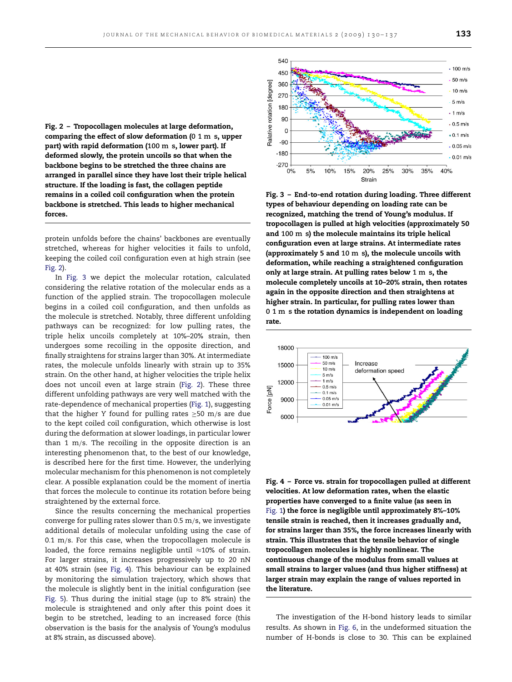Fig. 2 – Tropocollagen molecules at large deformation, comparing the effect of slow deformation (**0**:**1 m**=**s**, upper part) with rapid deformation (**100 m**=**s**, lower part). If deformed slowly, the protein uncoils so that when the backbone begins to be stretched the three chains are arranged in parallel since they have lost their triple helical structure. If the loading is fast, the collagen peptide remains in a coiled coil configuration when the protein backbone is stretched. This leads to higher mechanical forces.

protein unfolds before the chains' backbones are eventually stretched, whereas for higher velocities it fails to unfold, keeping the coiled coil configuration even at high strain (see Fig. 2).

In Fig. 3 we depict the molecular rotation, calculated considering the relative rotation of the molecular ends as a function of the applied strain. The tropocollagen molecule begins in a coiled coil configuration, and then unfolds as the molecule is stretched. Notably, three different unfolding pathways can be recognized: for low pulling rates, the triple helix uncoils completely at 10%–20% strain, then undergoes some recoiling in the opposite direction, and finally straightens for strains larger than 30%. At intermediate rates, the molecule unfolds linearly with strain up to 35% strain. On the other hand, at higher velocities the triple helix does not uncoil even at large strain (Fig. 2). These three different unfolding pathways are very well matched with the rate-dependence of mechanical properties (Fig. 1), suggesting that the higher *Y* found for pulling rates ≥50 m/s are due to the kept coiled coil configuration, which otherwise is lost during the deformation at slower loadings, in particular lower than 1 m/s. The recoiling in the opposite direction is an interesting phenomenon that, to the best of our knowledge, is described here for the first time. However, the underlying molecular mechanism for this phenomenon is not completely clear. A possible explanation could be the moment of inertia that forces the molecule to continue its rotation before being straightened by the external force.

Since the results concerning the mechanical properties converge for pulling rates slower than 0.5 m/s, we investigate additional details of molecular unfolding using the case of 0.1 m/s. For this case, when the tropocollagen molecule is loaded, the force remains negligible until ≈10% of strain. For larger strains, it increases progressively up to 20 nN at 40% strain (see Fig. 4). This behaviour can be explained by monitoring the simulation trajectory, which shows that the molecule is slightly bent in the initial configuration (see Fig. 5). Thus during the initial stage (up to 8% strain) the molecule is straightened and only after this point does it begin to be stretched, leading to an increased force (this observation is the basis for the analysis of Young's modulus at 8% strain, as discussed above).



Fig. 3 – End-to-end rotation during loading. Three different types of behaviour depending on loading rate can be recognized, matching the trend of Young's modulus. If tropocollagen is pulled at high velocities (approximately 50 and **100 m**=**s**) the molecule maintains its triple helical configuration even at large strains. At intermediate rates (approximately 5 and **10 m**=**s**), the molecule uncoils with deformation, while reaching a straightened configuration only at large strain. At pulling rates below **1 m**=**s**, the molecule completely uncoils at 10–20% strain, then rotates again in the opposite direction and then straightens at higher strain. In particular, for pulling rates lower than **0**:**1 m**=**s** the rotation dynamics is independent on loading rate.

Fig. 4 – Force vs. strain for tropocollagen pulled at different velocities. At low deformation rates, when the elastic properties have converged to a finite value (as seen in Fig. 1) the force is negligible until approximately 8%–10% tensile strain is reached, then it increases gradually and, for strains larger than 35%, the force increases linearly with strain. This illustrates that the tensile behavior of single tropocollagen molecules is highly nonlinear. The continuous change of the modulus from small values at small strains to larger values (and thus higher stiffness) at larger strain may explain the range of values reported in the literature.

The investigation of the H-bond history leads to similar results. As shown in Fig. 6, in the undeformed situation the number of H-bonds is close to 30. This can be explained